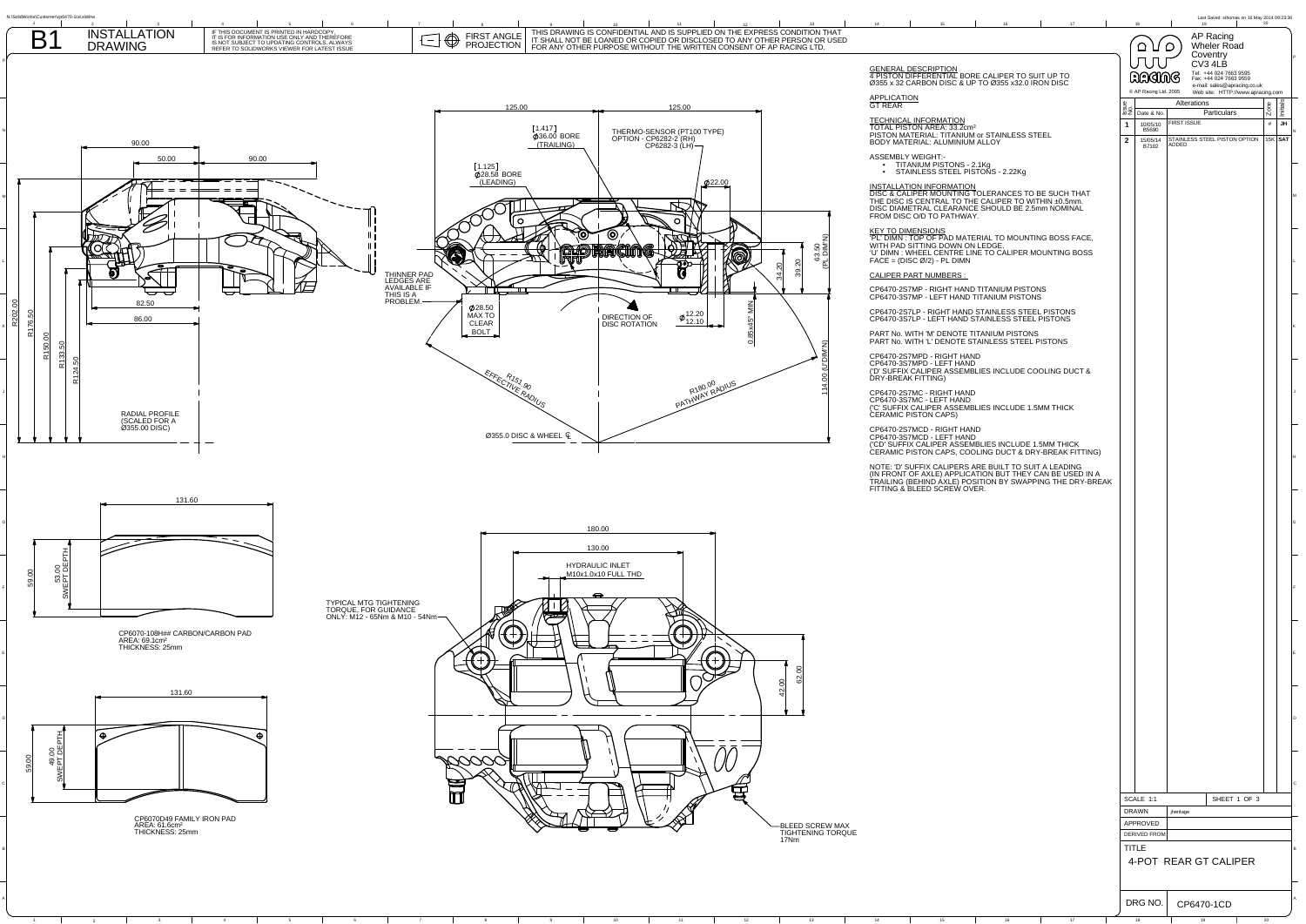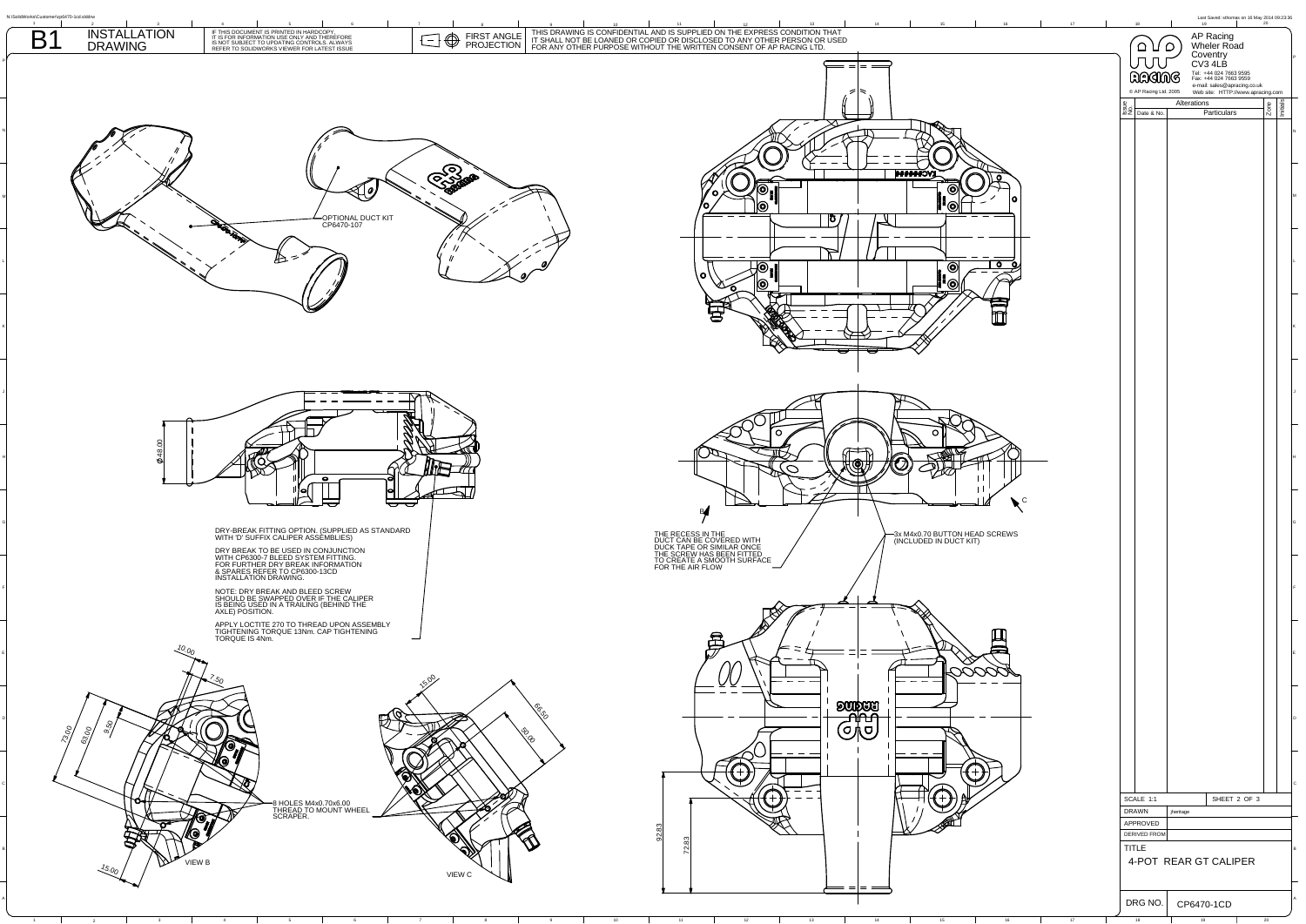